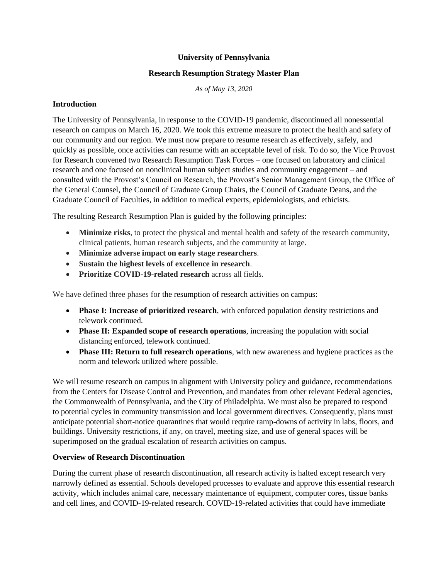### **University of Pennsylvania**

#### **Research Resumption Strategy Master Plan**

*As of May 13, 2020*

#### **Introduction**

The University of Pennsylvania, in response to the COVID-19 pandemic, discontinued all nonessential research on campus on March 16, 2020. We took this extreme measure to protect the health and safety of our community and our region. We must now prepare to resume research as effectively, safely, and quickly as possible, once activities can resume with an acceptable level of risk. To do so, the Vice Provost for Research convened two Research Resumption Task Forces – one focused on laboratory and clinical research and one focused on nonclinical human subject studies and community engagement – and consulted with the Provost's Council on Research, the Provost's Senior Management Group, the Office of the General Counsel, the Council of Graduate Group Chairs, the Council of Graduate Deans, and the Graduate Council of Faculties, in addition to medical experts, epidemiologists, and ethicists.

The resulting Research Resumption Plan is guided by the following principles:

- **Minimize risks**, to protect the physical and mental health and safety of the research community, clinical patients, human research subjects, and the community at large.
- **Minimize adverse impact on early stage researchers**.
- **Sustain the highest levels of excellence in research**.
- **Prioritize COVID-19-related research** across all fields.

We have defined three phases for the resumption of research activities on campus:

- **Phase I: Increase of prioritized research**, with enforced population density restrictions and telework continued.
- **Phase II: Expanded scope of research operations**, increasing the population with social distancing enforced, telework continued.
- **Phase III: Return to full research operations**, with new awareness and hygiene practices as the norm and telework utilized where possible.

We will resume research on campus in alignment with University policy and guidance, recommendations from the Centers for Disease Control and Prevention, and mandates from other relevant Federal agencies, the Commonwealth of Pennsylvania, and the City of Philadelphia. We must also be prepared to respond to potential cycles in community transmission and local government directives. Consequently, plans must anticipate potential short-notice quarantines that would require ramp-downs of activity in labs, floors, and buildings. University restrictions, if any, on travel, meeting size, and use of general spaces will be superimposed on the gradual escalation of research activities on campus.

#### **Overview of Research Discontinuation**

During the current phase of research discontinuation, all research activity is halted except research very narrowly defined as essential. Schools developed processes to evaluate and approve this essential research activity, which includes animal care, necessary maintenance of equipment, computer cores, tissue banks and cell lines, and COVID-19-related research. COVID-19-related activities that could have immediate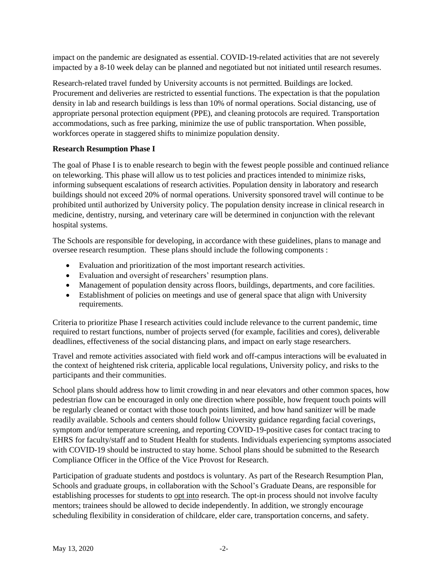impact on the pandemic are designated as essential. COVID-19-related activities that are not severely impacted by a 8-10 week delay can be planned and negotiated but not initiated until research resumes.

Research-related travel funded by University accounts is not permitted. Buildings are locked. Procurement and deliveries are restricted to essential functions. The expectation is that the population density in lab and research buildings is less than 10% of normal operations. Social distancing, use of appropriate personal protection equipment (PPE), and cleaning protocols are required. Transportation accommodations, such as free parking, minimize the use of public transportation. When possible, workforces operate in staggered shifts to minimize population density.

## **Research Resumption Phase I**

The goal of Phase I is to enable research to begin with the fewest people possible and continued reliance on teleworking. This phase will allow us to test policies and practices intended to minimize risks, informing subsequent escalations of research activities. Population density in laboratory and research buildings should not exceed 20% of normal operations. University sponsored travel will continue to be prohibited until authorized by University policy. The population density increase in clinical research in medicine, dentistry, nursing, and veterinary care will be determined in conjunction with the relevant hospital systems.

The Schools are responsible for developing, in accordance with these guidelines, plans to manage and oversee research resumption. These plans should include the following components :

- Evaluation and prioritization of the most important research activities.
- Evaluation and oversight of researchers' resumption plans.
- Management of population density across floors, buildings, departments, and core facilities.
- Establishment of policies on meetings and use of general space that align with University requirements.

Criteria to prioritize Phase I research activities could include relevance to the current pandemic, time required to restart functions, number of projects served (for example, facilities and cores), deliverable deadlines, effectiveness of the social distancing plans, and impact on early stage researchers.

Travel and remote activities associated with field work and off-campus interactions will be evaluated in the context of heightened risk criteria, applicable local regulations, University policy, and risks to the participants and their communities.

School plans should address how to limit crowding in and near elevators and other common spaces, how pedestrian flow can be encouraged in only one direction where possible, how frequent touch points will be regularly cleaned or contact with those touch points limited, and how hand sanitizer will be made readily available. Schools and centers should follow University guidance regarding facial coverings, symptom and/or temperature screening, and reporting COVID-19-positive cases for contact tracing to EHRS for faculty/staff and to Student Health for students. Individuals experiencing symptoms associated with COVID-19 should be instructed to stay home. School plans should be submitted to the Research Compliance Officer in the Office of the Vice Provost for Research.

Participation of graduate students and postdocs is voluntary. As part of the Research Resumption Plan, Schools and graduate groups, in collaboration with the School's Graduate Deans, are responsible for establishing processes for students to opt into research. The opt-in process should not involve faculty mentors; trainees should be allowed to decide independently. In addition, we strongly encourage scheduling flexibility in consideration of childcare, elder care, transportation concerns, and safety.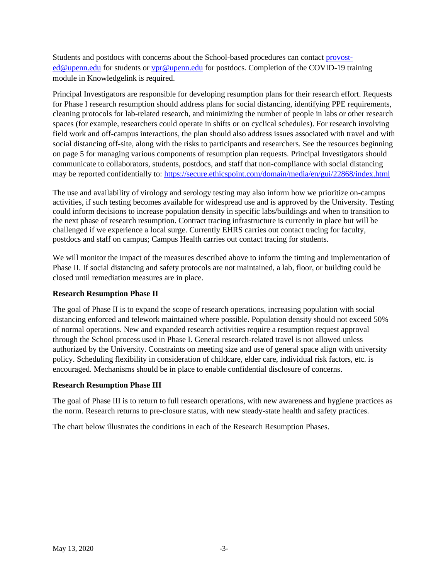Students and postdocs with concerns about the School-based procedures can contact [provost](mailto:provost-ed@upenn.edu)[ed@upenn.edu](mailto:provost-ed@upenn.edu) for students or [vpr@upenn.edu](mailto:vpr@upenn.edu) for postdocs. Completion of the COVID-19 training module in Knowledgelink is required.

Principal Investigators are responsible for developing resumption plans for their research effort. Requests for Phase I research resumption should address plans for social distancing, identifying PPE requirements, cleaning protocols for lab-related research, and minimizing the number of people in labs or other research spaces (for example, researchers could operate in shifts or on cyclical schedules). For research involving field work and off-campus interactions, the plan should also address issues associated with travel and with social distancing off-site, along with the risks to participants and researchers. See the resources beginning on page 5 for managing various components of resumption plan requests. Principal Investigators should communicate to collaborators, students, postdocs, and staff that non-compliance with social distancing may be reported confidentially to:<https://secure.ethicspoint.com/domain/media/en/gui/22868/index.html>

The use and availability of virology and serology testing may also inform how we prioritize on-campus activities, if such testing becomes available for widespread use and is approved by the University. Testing could inform decisions to increase population density in specific labs/buildings and when to transition to the next phase of research resumption. Contract tracing infrastructure is currently in place but will be challenged if we experience a local surge. Currently EHRS carries out contact tracing for faculty, postdocs and staff on campus; Campus Health carries out contact tracing for students.

We will monitor the impact of the measures described above to inform the timing and implementation of Phase II. If social distancing and safety protocols are not maintained, a lab, floor, or building could be closed until remediation measures are in place.

## **Research Resumption Phase II**

The goal of Phase II is to expand the scope of research operations, increasing population with social distancing enforced and telework maintained where possible. Population density should not exceed 50% of normal operations. New and expanded research activities require a resumption request approval through the School process used in Phase I. General research-related travel is not allowed unless authorized by the University. Constraints on meeting size and use of general space align with university policy. Scheduling flexibility in consideration of childcare, elder care, individual risk factors, etc. is encouraged. Mechanisms should be in place to enable confidential disclosure of concerns.

#### **Research Resumption Phase III**

The goal of Phase III is to return to full research operations, with new awareness and hygiene practices as the norm. Research returns to pre-closure status, with new steady-state health and safety practices.

The chart below illustrates the conditions in each of the Research Resumption Phases.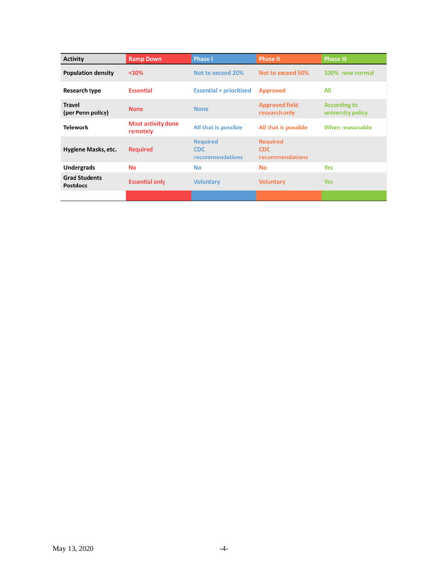| <b>Activity</b>                         | <b>Ramp Down</b>                      | <b>Phase I</b>                                   | <b>Phase II</b>                                  | <b>Phase III</b>                         |
|-----------------------------------------|---------------------------------------|--------------------------------------------------|--------------------------------------------------|------------------------------------------|
| <b>Population density</b>               | < 10%                                 | Not to exceed 20%                                | Not to exceed 50%                                | 100% new normal                          |
| <b>Research type</b>                    | <b>Essential</b>                      | <b>Essential + prioritized</b>                   | <b>Approved</b>                                  | All                                      |
| <b>Travel</b><br>(per Penn policy)      | <b>None</b>                           | <b>None</b>                                      | <b>Approved field</b><br>research only           | <b>According to</b><br>university policy |
| <b>Telework</b>                         | <b>Most activity done</b><br>remotely | All that is possible                             | All that is possible                             | When reasonable                          |
| Hygiene Masks, etc.                     | <b>Required</b>                       | <b>Required</b><br><b>CDC</b><br>recommendations | <b>Required</b><br><b>CDC</b><br>recommendations |                                          |
| <b>Undergrads</b>                       | No                                    | No                                               | No                                               | Yes                                      |
| <b>Grad Students</b><br><b>Postdocs</b> | <b>Essential only</b>                 | <b>Voluntary</b>                                 | <b>Voluntary</b>                                 | <b>Yes</b>                               |
|                                         |                                       |                                                  |                                                  |                                          |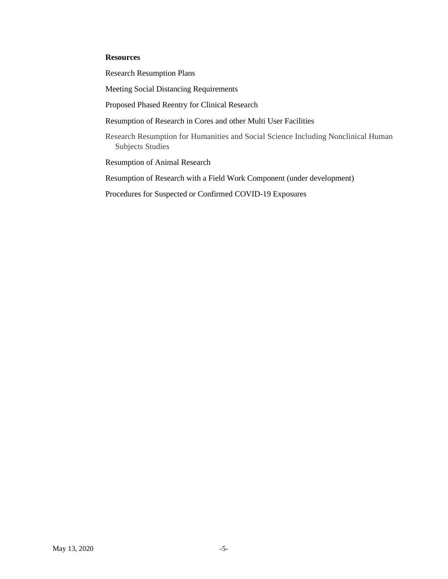## **Resources**

Research Resumption Plans

Meeting Social Distancing Requirements

Proposed Phased Reentry for Clinical Research

Resumption of Research in Cores and other Multi User Facilities

Research Resumption for Humanities and Social Science Including Nonclinical Human Subjects Studies

Resumption of Animal Research

Resumption of Research with a Field Work Component (under development)

Procedures for Suspected or Confirmed COVID-19 Exposures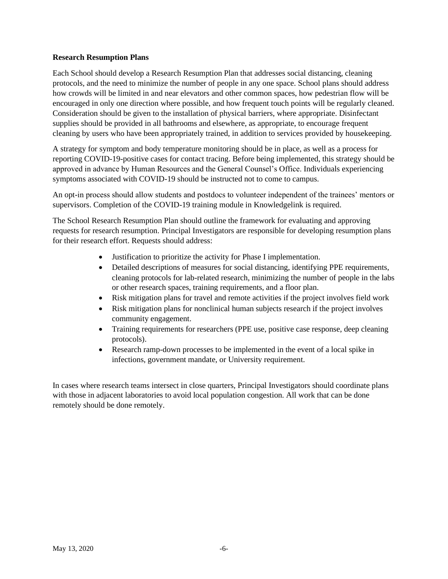#### **Research Resumption Plans**

Each School should develop a Research Resumption Plan that addresses social distancing, cleaning protocols, and the need to minimize the number of people in any one space. School plans should address how crowds will be limited in and near elevators and other common spaces, how pedestrian flow will be encouraged in only one direction where possible, and how frequent touch points will be regularly cleaned. Consideration should be given to the installation of physical barriers, where appropriate. Disinfectant supplies should be provided in all bathrooms and elsewhere, as appropriate, to encourage frequent cleaning by users who have been appropriately trained, in addition to services provided by housekeeping.

A strategy for symptom and body temperature monitoring should be in place, as well as a process for reporting COVID-19-positive cases for contact tracing. Before being implemented, this strategy should be approved in advance by Human Resources and the General Counsel's Office. Individuals experiencing symptoms associated with COVID-19 should be instructed not to come to campus.

An opt-in process should allow students and postdocs to volunteer independent of the trainees' mentors or supervisors. Completion of the COVID-19 training module in Knowledgelink is required.

The School Research Resumption Plan should outline the framework for evaluating and approving requests for research resumption. Principal Investigators are responsible for developing resumption plans for their research effort. Requests should address:

- Justification to prioritize the activity for Phase I implementation.
- Detailed descriptions of measures for social distancing, identifying PPE requirements, cleaning protocols for lab-related research, minimizing the number of people in the labs or other research spaces, training requirements, and a floor plan.
- Risk mitigation plans for travel and remote activities if the project involves field work
- Risk mitigation plans for nonclinical human subjects research if the project involves community engagement.
- Training requirements for researchers (PPE use, positive case response, deep cleaning protocols).
- Research ramp-down processes to be implemented in the event of a local spike in infections, government mandate, or University requirement.

In cases where research teams intersect in close quarters, Principal Investigators should coordinate plans with those in adjacent laboratories to avoid local population congestion. All work that can be done remotely should be done remotely.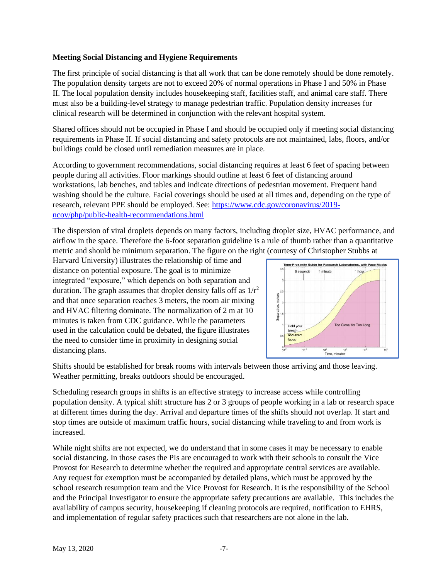## **Meeting Social Distancing and Hygiene Requirements**

The first principle of social distancing is that all work that can be done remotely should be done remotely. The population density targets are not to exceed 20% of normal operations in Phase I and 50% in Phase II. The local population density includes housekeeping staff, facilities staff, and animal care staff. There must also be a building-level strategy to manage pedestrian traffic. Population density increases for clinical research will be determined in conjunction with the relevant hospital system.

Shared offices should not be occupied in Phase I and should be occupied only if meeting social distancing requirements in Phase II. If social distancing and safety protocols are not maintained, labs, floors, and/or buildings could be closed until remediation measures are in place.

According to government recommendations, social distancing requires at least 6 feet of spacing between people during all activities. Floor markings should outline at least 6 feet of distancing around workstations, lab benches, and tables and indicate directions of pedestrian movement. Frequent hand washing should be the culture. Facial coverings should be used at all times and, depending on the type of research, relevant PPE should be employed. See: [https://www.cdc.gov/coronavirus/2019](https://www.cdc.gov/coronavirus/2019-ncov/php/public-health-recommendations.html) [ncov/php/public-health-recommendations.html](https://www.cdc.gov/coronavirus/2019-ncov/php/public-health-recommendations.html)

The dispersion of viral droplets depends on many factors, including droplet size, HVAC performance, and airflow in the space. Therefore the 6-foot separation guideline is a rule of thumb rather than a quantitative metric and should be minimum separation. The figure on the right (courtesy of Christopher Stubbs at

Harvard University) illustrates the relationship of time and distance on potential exposure. The goal is to minimize integrated "exposure," which depends on both separation and duration. The graph assumes that droplet density falls off as  $1/r^2$ and that once separation reaches 3 meters, the room air mixing and HVAC filtering dominate. The normalization of 2 m at 10 minutes is taken from CDC guidance. While the parameters used in the calculation could be debated, the figure illustrates the need to consider time in proximity in designing social distancing plans.



Shifts should be established for break rooms with intervals between those arriving and those leaving. Weather permitting, breaks outdoors should be encouraged.

Scheduling research groups in shifts is an effective strategy to increase access while controlling population density. A typical shift structure has 2 or 3 groups of people working in a lab or research space at different times during the day. Arrival and departure times of the shifts should not overlap. If start and stop times are outside of maximum traffic hours, social distancing while traveling to and from work is increased.

While night shifts are not expected, we do understand that in some cases it may be necessary to enable social distancing. In those cases the PIs are encouraged to work with their schools to consult the Vice Provost for Research to determine whether the required and appropriate central services are available. Any request for exemption must be accompanied by detailed plans, which must be approved by the school research resumption team and the Vice Provost for Research. It is the responsibility of the School and the Principal Investigator to ensure the appropriate safety precautions are available. This includes the availability of campus security, housekeeping if cleaning protocols are required, notification to EHRS, and implementation of regular safety practices such that researchers are not alone in the lab.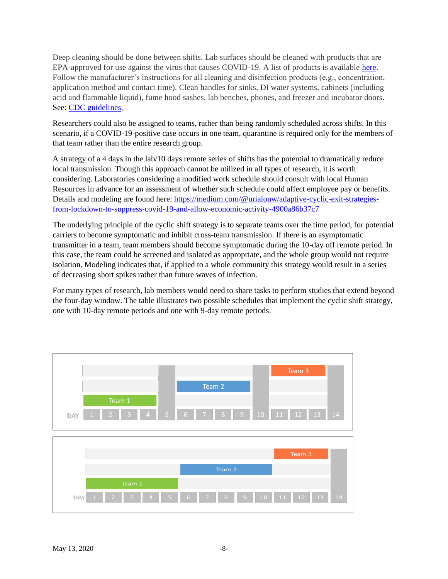Deep cleaning should be done between shifts. Lab surfaces should be cleaned with products that are EPA-approved for use against the virus that causes COVID-19. A list of products is available [here.](https://www.americanchemistry.com/Novel-Coronavirus-Fighting-Products-List.pdf?ftag=MSFd61514f) Follow the manufacturer's instructions for all cleaning and disinfection products (e.g., concentration, application method and contact time). Clean handles for sinks, DI water systems, cabinets (including acid and flammable liquid), fume hood sashes, lab benches, phones, and freezer and incubator doors. See[: CDC guidelines.](https://www.cdc.gov/coronavirus/2019-ncov/community/organizations/cleaning-disinfection.html)

Researchers could also be assigned to teams, rather than being randomly scheduled across shifts. In this scenario, if a COVID-19-positive case occurs in one team, quarantine is required only for the members of that team rather than the entire research group.

A strategy of a 4 days in the lab/10 days remote series of shifts has the potential to dramatically reduce local transmission. Though this approach cannot be utilized in all types of research, it is worth considering. Laboratories considering a modified work schedule should consult with local Human Resources in advance for an assessment of whether such schedule could affect employee pay or benefits. Details and modeling are found here: [https://medium.com/@urialonw/adaptive-cyclic-exit-strategies](https://medium.com/@urialonw/adaptive-cyclic-exit-strategies-from-lockdown-to-suppress-covid-19-and-allow-economic-activity-4900a86b37c7)[from-lockdown-to-suppress-covid-19-and-allow-economic-activity-4900a86b37c7](https://medium.com/@urialonw/adaptive-cyclic-exit-strategies-from-lockdown-to-suppress-covid-19-and-allow-economic-activity-4900a86b37c7)

The underlying principle of the cyclic shift strategy is to separate teams over the time period, for potential carriers to become symptomatic and inhibit cross-team transmission. If there is an asymptomatic transmitter in a team, team members should become symptomatic during the 10-day off remote period. In this case, the team could be screened and isolated as appropriate, and the whole group would not require isolation. Modeling indicates that, if applied to a whole community this strategy would result in a series of decreasing short spikes rather than future waves of infection.

For many types of research, lab members would need to share tasks to perform studies that extend beyond the four-day window. The table illustrates two possible schedules that implement the cyclic shift strategy, one with 10-day remote periods and one with 9-day remote periods.

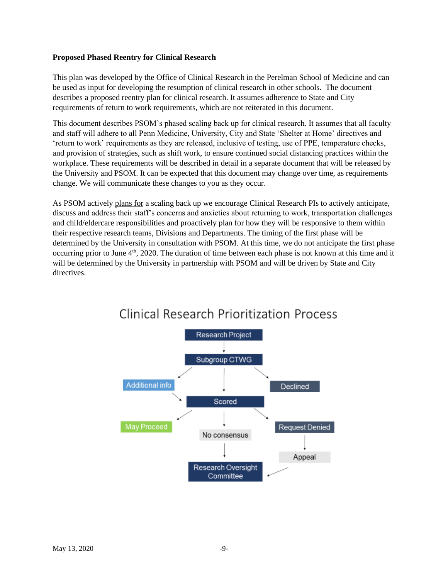### **Proposed Phased Reentry for Clinical Research**

This plan was developed by the Office of Clinical Research in the Perelman School of Medicine and can be used as input for developing the resumption of clinical research in other schools. The document describes a proposed reentry plan for clinical research. It assumes adherence to State and City requirements of return to work requirements, which are not reiterated in this document.

This document describes PSOM's phased scaling back up for clinical research. It assumes that all faculty and staff will adhere to all Penn Medicine, University, City and State 'Shelter at Home' directives and 'return to work' requirements as they are released, inclusive of testing, use of PPE, temperature checks, and provision of strategies, such as shift work, to ensure continued social distancing practices within the workplace. These requirements will be described in detail in a separate document that will be released by the University and PSOM. It can be expected that this document may change over time, as requirements change. We will communicate these changes to you as they occur.

As PSOM actively plans for a scaling back up we encourage Clinical Research PIs to actively anticipate, discuss and address their staff's concerns and anxieties about returning to work, transportation challenges and child/eldercare responsibilities and proactively plan for how they will be responsive to them within their respective research teams, Divisions and Departments. The timing of the first phase will be determined by the University in consultation with PSOM. At this time, we do not anticipate the first phase occurring prior to June 4<sup>th</sup>, 2020. The duration of time between each phase is not known at this time and it will be determined by the University in partnership with PSOM and will be driven by State and City directives.



# **Clinical Research Prioritization Process**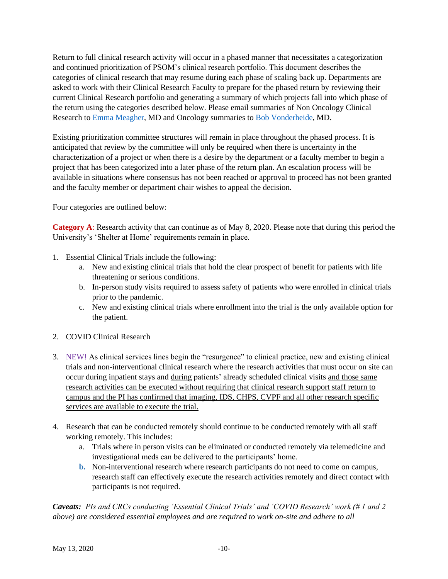Return to full clinical research activity will occur in a phased manner that necessitates a categorization and continued prioritization of PSOM's clinical research portfolio. This document describes the categories of clinical research that may resume during each phase of scaling back up. Departments are asked to work with their Clinical Research Faculty to prepare for the phased return by reviewing their current Clinical Research portfolio and generating a summary of which projects fall into which phase of the return using the categories described below. Please email summaries of Non Oncology Clinical Research to [Emma Meagher,](mailto:emma@upenn.edu) MD and Oncology summaries to [Bob Vonderheide,](mailto:rvh@upenn.edu) MD.

Existing prioritization committee structures will remain in place throughout the phased process. It is anticipated that review by the committee will only be required when there is uncertainty in the characterization of a project or when there is a desire by the department or a faculty member to begin a project that has been categorized into a later phase of the return plan. An escalation process will be available in situations where consensus has not been reached or approval to proceed has not been granted and the faculty member or department chair wishes to appeal the decision.

Four categories are outlined below:

**Category A**: Research activity that can continue as of May 8, 2020. Please note that during this period the University's 'Shelter at Home' requirements remain in place.

- 1. Essential Clinical Trials include the following:
	- a. New and existing clinical trials that hold the clear prospect of benefit for patients with life threatening or serious conditions.
	- b. In-person study visits required to assess safety of patients who were enrolled in clinical trials prior to the pandemic.
	- c. New and existing clinical trials where enrollment into the trial is the only available option for the patient.
- 2. COVID Clinical Research
- 3. NEW! As clinical services lines begin the "resurgence" to clinical practice, new and existing clinical trials and non-interventional clinical research where the research activities that must occur on site can occur during inpatient stays and during patients' already scheduled clinical visits and those same research activities can be executed without requiring that clinical research support staff return to campus and the PI has confirmed that imaging, IDS, CHPS, CVPF and all other research specific services are available to execute the trial.
- 4. Research that can be conducted remotely should continue to be conducted remotely with all staff working remotely. This includes:
	- a. Trials where in person visits can be eliminated or conducted remotely via telemedicine and investigational meds can be delivered to the participants' home.
	- **b.** Non-interventional research where research participants do not need to come on campus, research staff can effectively execute the research activities remotely and direct contact with participants is not required.

*Caveats: PIs and CRCs conducting 'Essential Clinical Trials' and 'COVID Research' work (# 1 and 2 above) are considered essential employees and are required to work on-site and adhere to all*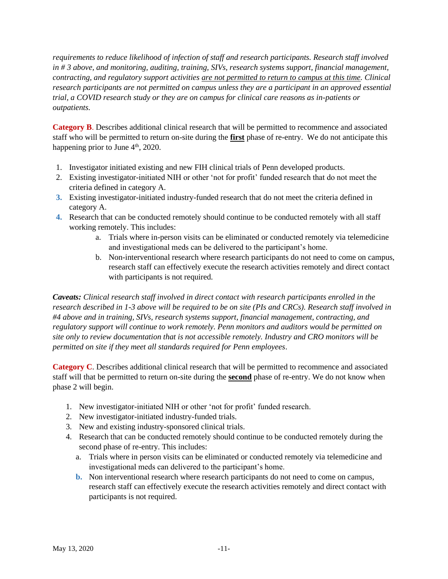*requirements to reduce likelihood of infection of staff and research participants. Research staff involved in # 3 above, and monitoring, auditing, training, SIVs, research systems support, financial management, contracting, and regulatory support activities are not permitted to return to campus at this time. Clinical research participants are not permitted on campus unless they are a participant in an approved essential trial, a COVID research study or they are on campus for clinical care reasons as in-patients or outpatients.* 

**Category B.** Describes additional clinical research that will be permitted to recommence and associated staff who will be permitted to return on-site during the **first** phase of re-entry. We do not anticipate this happening prior to June  $4<sup>th</sup>$ , 2020.

- 1. Investigator initiated existing and new FIH clinical trials of Penn developed products.
- 2. Existing investigator-initiated NIH or other 'not for profit' funded research that do not meet the criteria defined in category A.
- **3.** Existing investigator-initiated industry-funded research that do not meet the criteria defined in category A.
- **4.** Research that can be conducted remotely should continue to be conducted remotely with all staff working remotely. This includes:
	- a. Trials where in-person visits can be eliminated or conducted remotely via telemedicine and investigational meds can be delivered to the participant's home.
	- b. Non-interventional research where research participants do not need to come on campus, research staff can effectively execute the research activities remotely and direct contact with participants is not required.

*Caveats: Clinical research staff involved in direct contact with research participants enrolled in the research described in 1-3 above will be required to be on site (PIs and CRCs). Research staff involved in #4 above and in training, SIVs, research systems support, financial management, contracting, and regulatory support will continue to work remotely. Penn monitors and auditors would be permitted on site only to review documentation that is not accessible remotely. Industry and CRO monitors will be permitted on site if they meet all standards required for Penn employees*.

**Category C**. Describes additional clinical research that will be permitted to recommence and associated staff will that be permitted to return on-site during the **second** phase of re-entry. We do not know when phase 2 will begin.

- 1. New investigator-initiated NIH or other 'not for profit' funded research.
- 2. New investigator-initiated industry-funded trials.
- 3. New and existing industry-sponsored clinical trials.
- 4. Research that can be conducted remotely should continue to be conducted remotely during the second phase of re-entry. This includes:
	- a. Trials where in person visits can be eliminated or conducted remotely via telemedicine and investigational meds can delivered to the participant's home.
	- **b.** Non interventional research where research participants do not need to come on campus, research staff can effectively execute the research activities remotely and direct contact with participants is not required.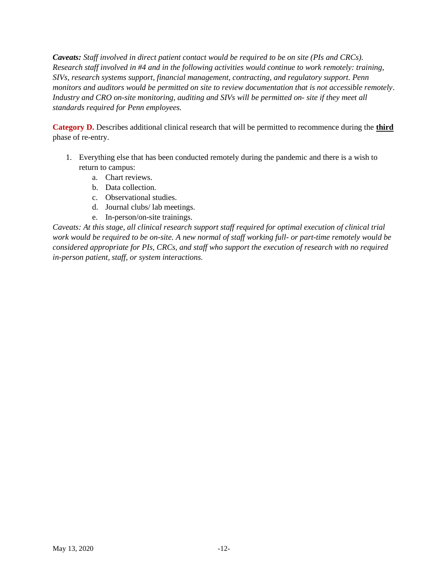*Caveats: Staff involved in direct patient contact would be required to be on site (PIs and CRCs). Research staff involved in #4 and in the following activities would continue to work remotely: training, SIVs, research systems support, financial management, contracting, and regulatory support. Penn monitors and auditors would be permitted on site to review documentation that is not accessible remotely*. *Industry and CRO on-site monitoring, auditing and SIVs will be permitted on- site if they meet all standards required for Penn employees.*

**Category D.** Describes additional clinical research that will be permitted to recommence during the **third** phase of re-entry.

- 1. Everything else that has been conducted remotely during the pandemic and there is a wish to return to campus:
	- a. Chart reviews.
	- b. Data collection.
	- c. Observational studies.
	- d. Journal clubs/ lab meetings.
	- e. In-person/on-site trainings.

*Caveats: At this stage, all clinical research support staff required for optimal execution of clinical trial work would be required to be on-site. A new normal of staff working full- or part-time remotely would be considered appropriate for PIs, CRCs, and staff who support the execution of research with no required in-person patient, staff, or system interactions.*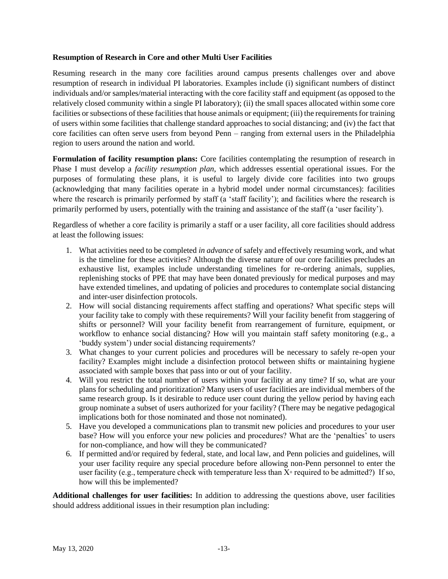#### **Resumption of Research in Core and other Multi User Facilities**

Resuming research in the many core facilities around campus presents challenges over and above resumption of research in individual PI laboratories. Examples include (i) significant numbers of distinct individuals and/or samples/material interacting with the core facility staff and equipment (as opposed to the relatively closed community within a single PI laboratory); (ii) the small spaces allocated within some core facilities or subsections of these facilities that house animals or equipment; (iii) the requirements for training of users within some facilities that challenge standard approaches to social distancing; and (iv) the fact that core facilities can often serve users from beyond Penn – ranging from external users in the Philadelphia region to users around the nation and world.

**Formulation of facility resumption plans:** Core facilities contemplating the resumption of research in Phase I must develop a *facility resumption plan*, which addresses essential operational issues. For the purposes of formulating these plans, it is useful to largely divide core facilities into two groups (acknowledging that many facilities operate in a hybrid model under normal circumstances): facilities where the research is primarily performed by staff (a 'staff facility'); and facilities where the research is primarily performed by users, potentially with the training and assistance of the staff (a 'user facility').

Regardless of whether a core facility is primarily a staff or a user facility, all core facilities should address at least the following issues:

- 1. What activities need to be completed *in advance* of safely and effectively resuming work, and what is the timeline for these activities? Although the diverse nature of our core facilities precludes an exhaustive list, examples include understanding timelines for re-ordering animals, supplies, replenishing stocks of PPE that may have been donated previously for medical purposes and may have extended timelines, and updating of policies and procedures to contemplate social distancing and inter-user disinfection protocols.
- 2. How will social distancing requirements affect staffing and operations? What specific steps will your facility take to comply with these requirements? Will your facility benefit from staggering of shifts or personnel? Will your facility benefit from rearrangement of furniture, equipment, or workflow to enhance social distancing? How will you maintain staff safety monitoring (e.g., a 'buddy system') under social distancing requirements?
- 3. What changes to your current policies and procedures will be necessary to safely re-open your facility? Examples might include a disinfection protocol between shifts or maintaining hygiene associated with sample boxes that pass into or out of your facility.
- 4. Will you restrict the total number of users within your facility at any time? If so, what are your plans for scheduling and prioritization? Many users of user facilities are individual members of the same research group. Is it desirable to reduce user count during the yellow period by having each group nominate a subset of users authorized for your facility? (There may be negative pedagogical implications both for those nominated and those not nominated).
- 5. Have you developed a communications plan to transmit new policies and procedures to your user base? How will you enforce your new policies and procedures? What are the 'penalties' to users for non-compliance, and how will they be communicated?
- 6. If permitted and/or required by federal, state, and local law, and Penn policies and guidelines, will your user facility require any special procedure before allowing non-Penn personnel to enter the user facility (e.g., temperature check with temperature less than  $X<sup>∘</sup>$  required to be admitted?) If so, how will this be implemented?

**Additional challenges for user facilities:** In addition to addressing the questions above, user facilities should address additional issues in their resumption plan including: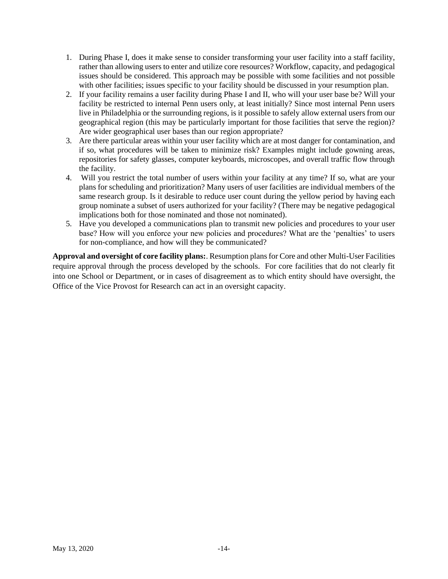- 1. During Phase I, does it make sense to consider transforming your user facility into a staff facility, rather than allowing users to enter and utilize core resources? Workflow, capacity, and pedagogical issues should be considered. This approach may be possible with some facilities and not possible with other facilities; issues specific to your facility should be discussed in your resumption plan.
- 2. If your facility remains a user facility during Phase I and II, who will your user base be? Will your facility be restricted to internal Penn users only, at least initially? Since most internal Penn users live in Philadelphia or the surrounding regions, is it possible to safely allow external users from our geographical region (this may be particularly important for those facilities that serve the region)? Are wider geographical user bases than our region appropriate?
- 3. Are there particular areas within your user facility which are at most danger for contamination, and if so, what procedures will be taken to minimize risk? Examples might include gowning areas, repositories for safety glasses, computer keyboards, microscopes, and overall traffic flow through the facility.
- 4. Will you restrict the total number of users within your facility at any time? If so, what are your plans for scheduling and prioritization? Many users of user facilities are individual members of the same research group. Is it desirable to reduce user count during the yellow period by having each group nominate a subset of users authorized for your facility? (There may be negative pedagogical implications both for those nominated and those not nominated).
- 5. Have you developed a communications plan to transmit new policies and procedures to your user base? How will you enforce your new policies and procedures? What are the 'penalties' to users for non-compliance, and how will they be communicated?

**Approval and oversight of core facility plans:**. Resumption plans for Core and other Multi-User Facilities require approval through the process developed by the schools. For core facilities that do not clearly fit into one School or Department, or in cases of disagreement as to which entity should have oversight, the Office of the Vice Provost for Research can act in an oversight capacity.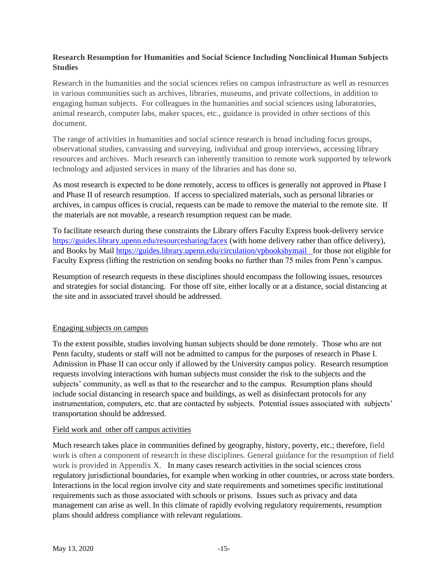## **Research Resumption for Humanities and Social Science Including Nonclinical Human Subjects Studies**

Research in the humanities and the social sciences relies on campus infrastructure as well as resources in various communities such as archives, libraries, museums, and private collections, in addition to engaging human subjects. For colleagues in the humanities and social sciences using laboratories, animal research, computer labs, maker spaces, etc., guidance is provided in other sections of this document.

The range of activities in humanities and social science research is broad including focus groups, observational studies, canvassing and surveying, individual and group interviews, accessing library resources and archives. Much research can inherently transition to remote work supported by telework technology and adjusted services in many of the libraries and has done so.

As most research is expected to be done remotely, access to offices is generally not approved in Phase I and Phase II of research resumption. If access to specialized materials, such as personal libraries or archives, in campus offices is crucial, requests can be made to remove the material to the remote site. If the materials are not movable, a research resumption request can be made.

To facilitate research during these constraints the Library offers Faculty Express book-delivery service <https://guides.library.upenn.edu/resourcesharing/facex> (with home delivery rather than office delivery), and Books by Mail<https://guides.library.upenn.edu/circulation/vpbooksbymail>for those not eligible for Faculty Express (lifting the restriction on sending books no further than 75 miles from Penn's campus.

Resumption of research requests in these disciplines should encompass the following issues, resources and strategies for social distancing. For those off site, either locally or at a distance, social distancing at the site and in associated travel should be addressed.

## Engaging subjects on campus

To the extent possible, studies involving human subjects should be done remotely. Those who are not Penn faculty, students or staff will not be admitted to campus for the purposes of research in Phase I. Admission in Phase II can occur only if allowed by the University campus policy. Research resumption requests involving interactions with human subjects must consider the risk to the subjects and the subjects' community, as well as that to the researcher and to the campus. Resumption plans should include social distancing in research space and buildings, as well as disinfectant protocols for any instrumentation, computers, etc. that are contacted by subjects. Potential issues associated with subjects' transportation should be addressed.

#### Field work and other off campus activities

Much research takes place in communities defined by geography, history, poverty, etc.; therefore, field work is often a component of research in these disciplines. General guidance for the resumption of field work is provided in Appendix X. In many cases research activities in the social sciences cross regulatory jurisdictional boundaries, for example when working in other countries, or across state borders. Interactions in the local region involve city and state requirements and sometimes specific institutional requirements such as those associated with schools or prisons. Issues such as privacy and data management can arise as well. In this climate of rapidly evolving regulatory requirements, resumption plans should address compliance with relevant regulations.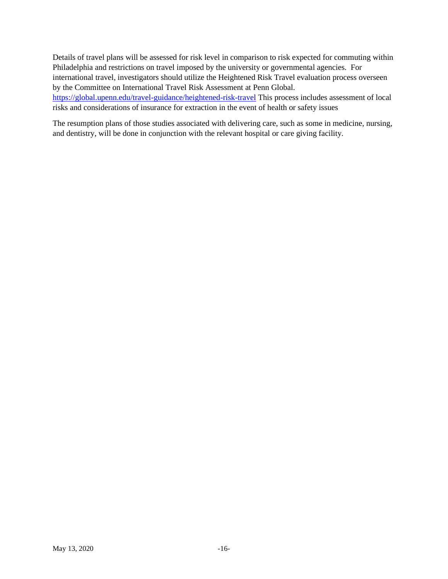Details of travel plans will be assessed for risk level in comparison to risk expected for commuting within Philadelphia and restrictions on travel imposed by the university or governmental agencies. For international travel, investigators should utilize the Heightened Risk Travel evaluation process overseen by the Committee on International Travel Risk Assessment at Penn Global. <https://global.upenn.edu/travel-guidance/heightened-risk-travel> This process includes assessment of local risks and considerations of insurance for extraction in the event of health or safety issues

The resumption plans of those studies associated with delivering care, such as some in medicine, nursing, and dentistry, will be done in conjunction with the relevant hospital or care giving facility.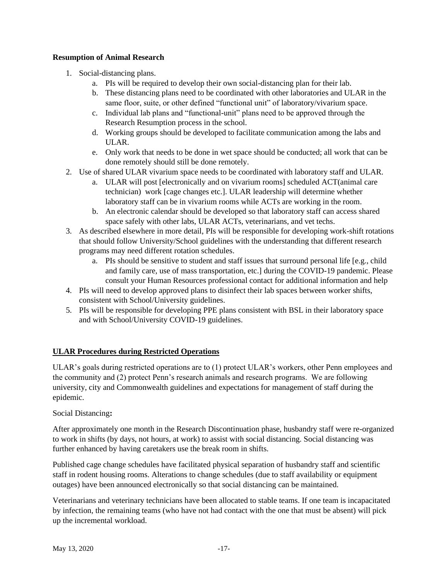## **Resumption of Animal Research**

- 1. Social-distancing plans.
	- a. PIs will be required to develop their own social-distancing plan for their lab.
	- b. These distancing plans need to be coordinated with other laboratories and ULAR in the same floor, suite, or other defined "functional unit" of laboratory/vivarium space.
	- c. Individual lab plans and "functional-unit" plans need to be approved through the Research Resumption process in the school.
	- d. Working groups should be developed to facilitate communication among the labs and ULAR.
	- e. Only work that needs to be done in wet space should be conducted; all work that can be done remotely should still be done remotely.
- 2. Use of shared ULAR vivarium space needs to be coordinated with laboratory staff and ULAR.
	- a. ULAR will post [electronically and on vivarium rooms] scheduled ACT(animal care technician) work [cage changes etc.]. ULAR leadership will determine whether laboratory staff can be in vivarium rooms while ACTs are working in the room.
	- b. An electronic calendar should be developed so that laboratory staff can access shared space safely with other labs, ULAR ACTs, veterinarians, and vet techs.
- 3. As described elsewhere in more detail, PIs will be responsible for developing work-shift rotations that should follow University/School guidelines with the understanding that different research programs may need different rotation schedules.
	- a. PIs should be sensitive to student and staff issues that surround personal life [e.g., child and family care, use of mass transportation, etc.] during the COVID-19 pandemic. Please consult your Human Resources professional contact for additional information and help
- 4. PIs will need to develop approved plans to disinfect their lab spaces between worker shifts, consistent with School/University guidelines.
- 5. PIs will be responsible for developing PPE plans consistent with BSL in their laboratory space and with School/University COVID-19 guidelines.

## **ULAR Procedures during Restricted Operations**

ULAR's goals during restricted operations are to (1) protect ULAR's workers, other Penn employees and the community and (2) protect Penn's research animals and research programs. We are following university, city and Commonwealth guidelines and expectations for management of staff during the epidemic.

## Social Distancing**:**

After approximately one month in the Research Discontinuation phase, husbandry staff were re-organized to work in shifts (by days, not hours, at work) to assist with social distancing. Social distancing was further enhanced by having caretakers use the break room in shifts.

Published cage change schedules have facilitated physical separation of husbandry staff and scientific staff in rodent housing rooms. Alterations to change schedules (due to staff availability or equipment outages) have been announced electronically so that social distancing can be maintained.

Veterinarians and veterinary technicians have been allocated to stable teams. If one team is incapacitated by infection, the remaining teams (who have not had contact with the one that must be absent) will pick up the incremental workload.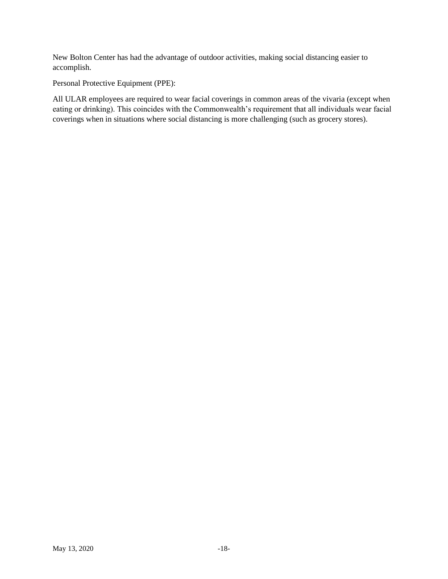New Bolton Center has had the advantage of outdoor activities, making social distancing easier to accomplish.

Personal Protective Equipment (PPE):

All ULAR employees are required to wear facial coverings in common areas of the vivaria (except when eating or drinking). This coincides with the Commonwealth's requirement that all individuals wear facial coverings when in situations where social distancing is more challenging (such as grocery stores).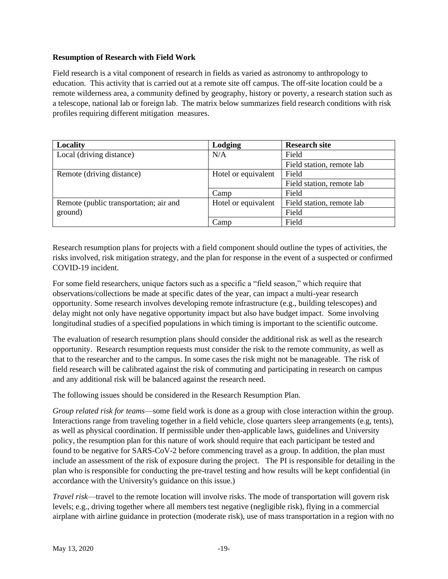## **Resumption of Research with Field Work**

Field research is a vital component of research in fields as varied as astronomy to anthropology to education. This activity that is carried out at a remote site off campus. The off-site location could be a remote wilderness area, a community defined by geography, history or poverty, a research station such as a telescope, national lab or foreign lab. The matrix below summarizes field research conditions with risk profiles requiring different mitigation measures.

| Locality                               | Lodging             | <b>Research site</b>      |  |
|----------------------------------------|---------------------|---------------------------|--|
| Local (driving distance)               | N/A                 | Field                     |  |
|                                        |                     | Field station, remote lab |  |
| Remote (driving distance)              | Hotel or equivalent | Field                     |  |
|                                        |                     | Field station, remote lab |  |
|                                        | Camp                | Field                     |  |
| Remote (public transportation; air and | Hotel or equivalent | Field station, remote lab |  |
| ground)                                |                     | Field                     |  |
|                                        | Camp                | Field                     |  |

Research resumption plans for projects with a field component should outline the types of activities, the risks involved, risk mitigation strategy, and the plan for response in the event of a suspected or confirmed COVID-19 incident.

For some field researchers, unique factors such as a specific a "field season," which require that observations/collections be made at specific dates of the year, can impact a multi-year research opportunity. Some research involves developing remote infrastructure (e.g., building telescopes) and delay might not only have negative opportunity impact but also have budget impact. Some involving longitudinal studies of a specified populations in which timing is important to the scientific outcome.

The evaluation of research resumption plans should consider the additional risk as well as the research opportunity. Research resumption requests must consider the risk to the remote community, as well as that to the researcher and to the campus. In some cases the risk might not be manageable. The risk of field research will be calibrated against the risk of commuting and participating in research on campus and any additional risk will be balanced against the research need.

The following issues should be considered in the Research Resumption Plan.

*Group related risk for teams*—some field work is done as a group with close interaction within the group. Interactions range from traveling together in a field vehicle, close quarters sleep arrangements (e.g, tents), as well as physical coordination. If permissible under then-applicable laws, guidelines and University policy, the resumption plan for this nature of work should require that each participant be tested and found to be negative for SARS-CoV-2 before commencing travel as a group. In addition, the plan must include an assessment of the risk of exposure during the project. The PI is responsible for detailing in the plan who is responsible for conducting the pre-travel testing and how results will be kept confidential (in accordance with the University's guidance on this issue.)

*Travel risk*—travel to the remote location will involve risks. The mode of transportation will govern risk levels; e.g., driving together where all members test negative (negligible risk), flying in a commercial airplane with airline guidance in protection (moderate risk), use of mass transportation in a region with no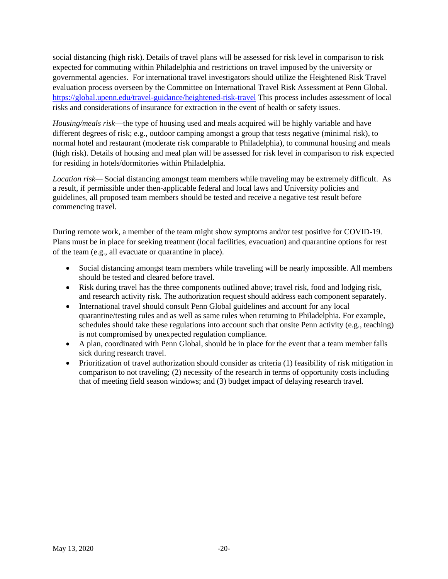social distancing (high risk). Details of travel plans will be assessed for risk level in comparison to risk expected for commuting within Philadelphia and restrictions on travel imposed by the university or governmental agencies. For international travel investigators should utilize the Heightened Risk Travel evaluation process overseen by the Committee on International Travel Risk Assessment at Penn Global. <https://global.upenn.edu/travel-guidance/heightened-risk-travel> This process includes assessment of local risks and considerations of insurance for extraction in the event of health or safety issues.

*Housing/meals risk*—the type of housing used and meals acquired will be highly variable and have different degrees of risk; e.g., outdoor camping amongst a group that tests negative (minimal risk), to normal hotel and restaurant (moderate risk comparable to Philadelphia), to communal housing and meals (high risk). Details of housing and meal plan will be assessed for risk level in comparison to risk expected for residing in hotels/dormitories within Philadelphia.

*Location risk—* Social distancing amongst team members while traveling may be extremely difficult. As a result, if permissible under then-applicable federal and local laws and University policies and guidelines, all proposed team members should be tested and receive a negative test result before commencing travel.

During remote work, a member of the team might show symptoms and/or test positive for COVID-19. Plans must be in place for seeking treatment (local facilities, evacuation) and quarantine options for rest of the team (e.g., all evacuate or quarantine in place).

- Social distancing amongst team members while traveling will be nearly impossible. All members should be tested and cleared before travel.
- Risk during travel has the three components outlined above; travel risk, food and lodging risk, and research activity risk. The authorization request should address each component separately.
- International travel should consult Penn Global guidelines and account for any local quarantine/testing rules and as well as same rules when returning to Philadelphia. For example, schedules should take these regulations into account such that onsite Penn activity (e.g., teaching) is not compromised by unexpected regulation compliance.
- A plan, coordinated with Penn Global, should be in place for the event that a team member falls sick during research travel.
- Prioritization of travel authorization should consider as criteria (1) feasibility of risk mitigation in comparison to not traveling; (2) necessity of the research in terms of opportunity costs including that of meeting field season windows; and (3) budget impact of delaying research travel.